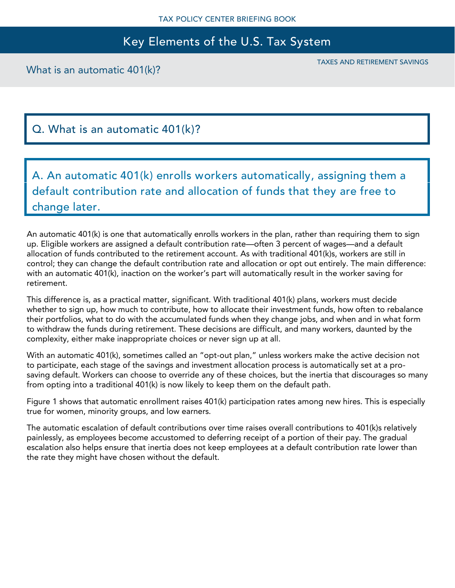## Key Elements of the U.S. Tax System

What is an automatic 401(k)?

TAXES AND RETIREMENT SAVINGS

## Q. What is an automatic 401(k)?

A. An automatic 401(k) enrolls workers automatically, assigning them a default contribution rate and allocation of funds that they are free to change later.

An automatic 401(k) is one that automatically enrolls workers in the plan, rather than requiring them to sign up. Eligible workers are assigned a default contribution rate—often 3 percent of wages—and a default allocation of funds contributed to the retirement account. As with traditional 401(k)s, workers are still in control; they can change the default contribution rate and allocation or opt out entirely. The main difference: with an automatic 401(k), inaction on the worker's part will automatically result in the worker saving for retirement.

This difference is, as a practical matter, significant. With traditional 401(k) plans, workers must decide whether to sign up, how much to contribute, how to allocate their investment funds, how often to rebalance their portfolios, what to do with the accumulated funds when they change jobs, and when and in what form to withdraw the funds during retirement. These decisions are difficult, and many workers, daunted by the complexity, either make inappropriate choices or never sign up at all.

With an automatic 401(k), sometimes called an "opt-out plan," unless workers make the active decision not to participate, each stage of the savings and investment allocation process is automatically set at a prosaving default. Workers can choose to override any of these choices, but the inertia that discourages so many from opting into a traditional 401(k) is now likely to keep them on the default path.

Figure 1 shows that automatic enrollment raises 401(k) participation rates among new hires. This is especially true for women, minority groups, and low earners.

The automatic escalation of default contributions over time raises overall contributions to 401(k)s relatively painlessly, as employees become accustomed to deferring receipt of a portion of their pay. The gradual escalation also helps ensure that inertia does not keep employees at a default contribution rate lower than the rate they might have chosen without the default.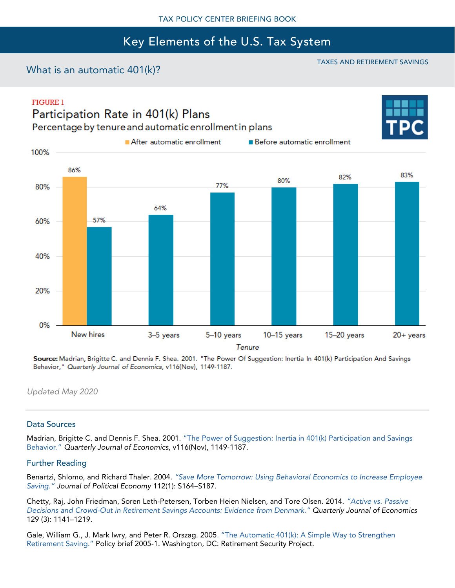# Key Elements of the U.S. Tax System

### What is an automatic 401(k)?

TAXES AND RETIREMENT SAVINGS

#### **FIGURE 1** Participation Rate in 401(k) Plans

100%



Percentage by tenure and automatic enrollment in plans

After automatic enrollment

**Before automatic enrollment** 



Source: Madrian, Brigitte C. and Dennis F. Shea. 2001. "The Power Of Suggestion: Inertia In 401(k) Participation And Savings Behavior," Quarterly Journal of Economics, v116(Nov), 1149-1187.

*Updated May 2020*

#### Data Sources

Madrian, Brigitte C. and Dennis F. Shea. 2001. ["The Power of Suggestion: Inertia in 401\(k\) Participation and Savings](https://www.nber.org/papers/w7682)  [Behavior."](https://www.nber.org/papers/w7682) *Quarterly Journal of Economics*, v116(Nov), 1149-1187.

#### Further Reading

Benartzi, Shlomo, and Richard Thaler. 2004. *["Save More Tomorrow: Using Behavioral Economics to Increase Employee](https://www.jstor.org/stable/10.1086/380085?seq=1#page_scan_tab_contents)  [Saving."](https://www.jstor.org/stable/10.1086/380085?seq=1#page_scan_tab_contents) Journal of Political Economy* 112(1): S164–S187.

Chetty, Raj, John Friedman, Soren Leth-Petersen, Torben Heien Nielsen, and Tore Olsen. 2014. *["Active vs. Pa](https://academic.oup.com/qje/article/129/3/1141/1817647)ssive Decisions and Crowd-[Out in Retirement Savings Accounts: Evidence from Denmark."](https://academic.oup.com/qje/article/129/3/1141/1817647) Quarterly Journal of Economics* 129 (3): 1141–1219.

Gale, William G., J. Mark Iwry, and Peter R. Orszag. 2005[. "The Automatic 401\(k\): A Simple Way to Strengthen](https://www.brookings.edu/research/the-automatic-401k-a-simple-way-to-strengthen-retirement-savings/)  [Retirement](https://www.brookings.edu/research/the-automatic-401k-a-simple-way-to-strengthen-retirement-savings/) Saving." Policy brief 2005-1. Washington, DC: Retirement Security Project.